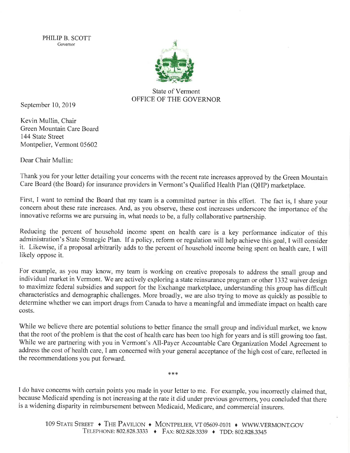PHILIP B. SCOTT Govemor



State of Vennont OFFICE OF THE GOVERNOR

September 10,2019

Kevin Mullin, Chair Green Mountain Care Board 144 State Street Montpelier, Vermont 05602

Dear Chair Mullin

Thank you for your letter detailing your concems with the recent rate increases approved by the Green Mountain Care Board (the Board) for insurance providers in Vermont's Qualified Health Plan (QHP) marketplace.

First, I want to remind the Board that my team is a committed partner in this effort. The fact is, I share your concern about these rate increases. And, as you observe, these cost increases underscore the importance of the innovative reforms we are pursuing in, what needs to be, a fully collaborative partnership.

Reducing the percent of household income spent on health care is a key performance indicator of this administration's State Strategic Plan. If a policy, reform or regulation will help achieve this goal, I will consider it. Likewise, if a proposal arbitrarily adds to the percent of household income being spent on health care, I will likely oppose it.

For example, as you may know, my team is working on creative proposals to address the small group and individual market in Vermont. We are actively exploring a state reinsurance program or other 1332 waiver design to maximize federal subsidies and support for the Exchange marketplace, understanding this group has difficult characteristics and demographic challenges. More broadly, we are also trying to move as quickly as possible to determine whether we can import drugs from Canada to have a meaningful and immediate impact on health care costs.

While we believe there are potential solutions to better finance the small group and individual market, we know that the root of the problem is that the cost of health care has been too high for years and is still growing too fast. While we are partnering with you in Vermont's All-Payer Accountable Care Organization Model Agreement to address the cost of health care, I am concerned with your general acceptance of the high cost of care, reflected in the recommendations you put forward.

I do have concems with certain points you made in your letter to me. For example, you incorrectly claimed that, because Medicaid spending is not increasing at the rate it did under previous govemors, you concluded that there is a widening disparity in reimbursement between Medicaid, Medicare, and commercial insurers.

\*\*\*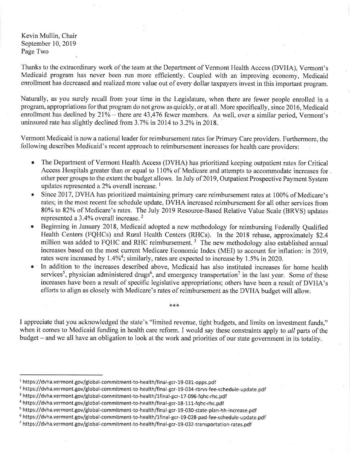Kevin Mullin, Chair September 10, 2019 Page Two

Thanks to the extraordinary work of the team at the Department of Vermont Health Access (DVHA), Vermont's Medicaid program has never been run more efficiently. Coupled with an improving economy, Medicaid enrollment has decreased and realized more value out of every dollar taxpayers invest in this important program.

Naturally, as you surely recall from your time in the Legislature, when there are fewer people enrolled in <sup>a</sup> program, appropriations forthat program do not grow as quickly, or at all. More specifically, since 2016, Medicaid enrollment has declined by  $21\%$  - there are 43,476 fewer members. As well, over a similar period, Vermont's uninsured rate has slightly declined from 3.7% in 2014 to 3.2% in 2018.

Vermont Medicaid is now a national leader for reimbursement rates for Primary Care providers. Furthermore, the following describes Medicaid's recent approach to reimbursement increases for health care providers:

- a The Department of Vermont Health Access (DVHA) has prioritized keeping outpatient rates for Critical Access Hospitals greater than or equal to II0% of Medicare and attempts to accommodate increases for other peer groups to the extent the budget allows. In July of 2019, Outpatient Prospective Payment System updates represented a  $2\%$  overall increase.<sup>1</sup>
- a Since 2017, DVHA has prioritized maintaining primary care reimbursement rates at 100% of Medicare's rates; in the most recent fee schedule update, DVHA increased reimbursement for all other services from 80Yo to 82Yo of Medicare's rates. The July 2019 Resource-Based Relative Value Scale (BRVS) updates represented a 3.4Yo overall increase. <sup>2</sup>
- a Beginning in January 2018, Medicaid adopted a new methodology for reimbursing Federally Qualified Health Centers (FQHCs) and Rural Health Centers (RHCs). In the 2018 rebase, approximately \$2.4 million was added to FQHC and RHC reimbursement.<sup>3</sup> The new methodology also established annual increases based on the most current Medicare Economic Index (MED to account for inflation: in2019, rates were increased by  $1.4\%$ <sup>4</sup>; similarly, rates are expected to increase by 1.5% in 2020.
- o In addition to the increases described above, Medicaid has also instituted increases for home health services<sup>5</sup>, physician administered drugs<sup>6</sup>, and emergency transportation<sup>7</sup> in the last year. Some of these increases have been a result of specific legislative appropriations; others have been a result of DVHA's efforts to align as closely with Medicare's rates of reimbursement as the DVHA budget will allow.

## I appreciate that you acknowledged the state's "limited reveriue, tight budgets, and limits on investment funds," when it comes to Medicaid funding in health care reform. I would say these constraints apply to all parts of the budget – and we all have an obligation to look at the work and priorities of our state government in its totality.

 $***$ 

 $1$  https://dvha.vermont.gov/global-commitment-to-health/final-gcr-19-031-opps.pdf

<sup>&</sup>lt;sup>2</sup> https://dvha.vermont.gov/global-commitment-to-health/final-gcr-19-034-rbrvs-fee-schedule-update.pdf

<sup>&</sup>lt;sup>3</sup> https://dvha.vermont.gov/global-commitment-to-health/1final-gcr-17-096-fqhc-rhc.pdf

<sup>&</sup>lt;sup>4</sup> https://dvha.vermont.gov/global-commitment-to-health/final-gcr-18-111-fqhc-rhc.pdf

<sup>s</sup>https://dvha.vermont.gov/global-commitment-to-health/final-gcr-19-030-state-plan-hh-increase.pdf

<sup>6</sup>https://dvha.vermont.gov/global-commitment-to-health/lfinal-gcr-19-028-pad-fee-schedule-update.pdf

<sup>7</sup>https://dvha.vermont.gov/global-commitment-to-health/final-gcr-19-032-transportation-rates.pdf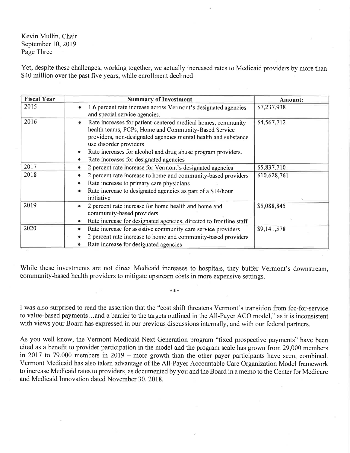Kevin Mullin, Chair September 10,2019 Page Three

Yet, despite these challenges, working together, we actually increased rates to Medicaid providers by more than \$40 million over the past five years, while enrollment declined:

| <b>Fiscal Year</b> | <b>Summary of Investment</b>                                                                                                                                                                                                                                                                                                                 | Amount:      |
|--------------------|----------------------------------------------------------------------------------------------------------------------------------------------------------------------------------------------------------------------------------------------------------------------------------------------------------------------------------------------|--------------|
| 2015               | 1.6 percent rate increase across Vermont's designated agencies<br>۰<br>and special service agencies.                                                                                                                                                                                                                                         | \$7,237,938  |
| 2016               | Rate increases for patient-centered medical homes, community<br>health teams, PCPs, Home and Community-Based Service<br>providers, non-designated agencies mental health and substance<br>use disorder providers<br>Rate increases for alcohol and drug abuse program providers.<br>$\bullet$<br>Rate increases for designated agencies<br>۰ | \$4,567,712  |
| 2017               | 2 percent rate increase for Vermont's designated agencies<br>۰                                                                                                                                                                                                                                                                               | \$5,837,710  |
| 2018               | 2 percent rate increase to home and community-based providers<br>Rate increase to primary care physicians<br>Rate increase to designated agencies as part of a \$14/hour<br>۰<br>initiative                                                                                                                                                  | \$10,628,761 |
| 2019               | 2 percent rate increase for home health and home and<br>۰<br>community-based providers<br>Rate increase for designated agencies, directed to frontline staff                                                                                                                                                                                 | \$5,088,845  |
| 2020               | Rate increase for assistive community care service providers<br>۰<br>2 percent rate increase to home and community-based providers<br>Rate increase for designated agencies<br>۰                                                                                                                                                             | \$9,141,578  |

While these investments are not direct Medicaid increases to hospitals, they buffer Vermont's downstream, community-based health providers to mitigate upstream costs in more expensive settings.

\*\*{<

I was also surprised to read the assertion that the "cost shift threatens Vermont's transition from fee-for-service to value-based payments...and a barrier to the targets outlined in the All-Payer ACO model," as it is inconsistent with views your Board has expressed in our previous discussions internally, and with our federal partners.

As you well know, the Vermont Medicaid Next Generation program "fixed prospective payments" have been cited as a benefit to provider participation in the model and the program scale has grown from 29,000 members in 2017 to 79,000 members in 2019 - more growth than the other payer participants have seen, combined. Vermont Medicaid has also taken advantage of the All-Payer Accountable Care Organization Model framework to increase Medicaid rates to providers, as documented by you and the Board in a memo to the Center for Medicare and Medicaid Innovation dated November 30, 2018.